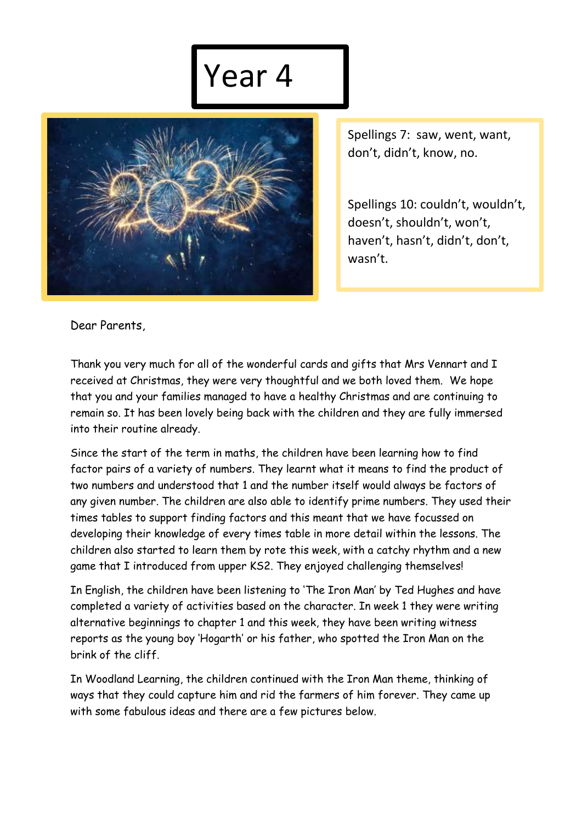## Year 4



Spellings 7: saw, went, want, don't, didn't, know, no.

Spellings 10: couldn't, wouldn't, doesn't, shouldn't, won't, haven't, hasn't, didn't, don't, wasn't.

Dear Parents,

Thank you very much for all of the wonderful cards and gifts that Mrs Vennart and I received at Christmas, they were very thoughtful and we both loved them. We hope that you and your families managed to have a healthy Christmas and are continuing to remain so. It has been lovely being back with the children and they are fully immersed into their routine already.

Since the start of the term in maths, the children have been learning how to find factor pairs of a variety of numbers. They learnt what it means to find the product of two numbers and understood that 1 and the number itself would always be factors of any given number. The children are also able to identify prime numbers. They used their times tables to support finding factors and this meant that we have focussed on developing their knowledge of every times table in more detail within the lessons. The children also started to learn them by rote this week, with a catchy rhythm and a new game that I introduced from upper KS2. They enjoyed challenging themselves!

In English, the children have been listening to 'The Iron Man' by Ted Hughes and have completed a variety of activities based on the character. In week 1 they were writing alternative beginnings to chapter 1 and this week, they have been writing witness reports as the young boy 'Hogarth' or his father, who spotted the Iron Man on the brink of the cliff.

In Woodland Learning, the children continued with the Iron Man theme, thinking of ways that they could capture him and rid the farmers of him forever. They came up with some fabulous ideas and there are a few pictures below.